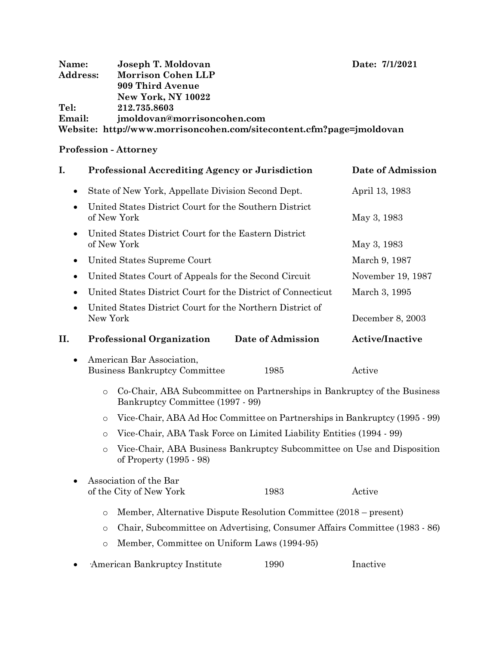| Date: 7/1/2021 |
|----------------|
|                |

| Name:           | Joseph T. Moldovan                                                   | Date: 7/1/2021 |
|-----------------|----------------------------------------------------------------------|----------------|
| <b>Address:</b> | Morrison Cohen LLP                                                   |                |
|                 | 909 Third Avenue                                                     |                |
|                 | <b>New York, NY 10022</b>                                            |                |
| Tel:            | 212.735.8603                                                         |                |
| <b>Email:</b>   | jmoldovan@morrisoncohen.com                                          |                |
|                 | Website: http://www.morrisoncohen.com/sitecontent.cfm?page=jmoldovan |                |

# **Profession - Attorney**

| I.        |                                                                                                                         | Professional Accrediting Agency or Jurisdiction                   | Date of Admission |                        |  |  |
|-----------|-------------------------------------------------------------------------------------------------------------------------|-------------------------------------------------------------------|-------------------|------------------------|--|--|
| ٠         |                                                                                                                         | State of New York, Appellate Division Second Dept.                | April 13, 1983    |                        |  |  |
|           | United States District Court for the Southern District<br>of New York                                                   |                                                                   |                   | May 3, 1983            |  |  |
|           | United States District Court for the Eastern District<br>of New York                                                    |                                                                   |                   | May 3, 1983            |  |  |
| ٠         |                                                                                                                         | United States Supreme Court                                       | March 9, 1987     |                        |  |  |
|           |                                                                                                                         | United States Court of Appeals for the Second Circuit             | November 19, 1987 |                        |  |  |
|           |                                                                                                                         | United States District Court for the District of Connecticut      | March 3, 1995     |                        |  |  |
|           | New York                                                                                                                | United States District Court for the Northern District of         | December 8, 2003  |                        |  |  |
| II.       |                                                                                                                         | <b>Professional Organization</b>                                  | Date of Admission | <b>Active/Inactive</b> |  |  |
| $\bullet$ |                                                                                                                         | American Bar Association,<br><b>Business Bankruptcy Committee</b> | Active            |                        |  |  |
|           | Co-Chair, ABA Subcommittee on Partnerships in Bankruptcy of the Business<br>$\circ$<br>Bankruptcy Committee (1997 - 99) |                                                                   |                   |                        |  |  |
|           | Vice-Chair, ABA Ad Hoc Committee on Partnerships in Bankruptcy (1995 - 99)<br>$\circ$                                   |                                                                   |                   |                        |  |  |
|           | Vice-Chair, ABA Task Force on Limited Liability Entities (1994 - 99)<br>$\circ$                                         |                                                                   |                   |                        |  |  |
|           | Vice-Chair, ABA Business Bankruptcy Subcommittee on Use and Disposition<br>$\Omega$<br>of Property (1995 - 98)          |                                                                   |                   |                        |  |  |
|           | Association of the Bar<br>of the City of New York<br>1983<br>Active                                                     |                                                                   |                   |                        |  |  |

- o Member, Alternative Dispute Resolution Committee (2018 present)
- o Chair, Subcommittee on Advertising, Consumer Affairs Committee (1983 86)
- o Member, Committee on Uniform Laws (1994-95)
- American Bankruptcy Institute 1990 Inactive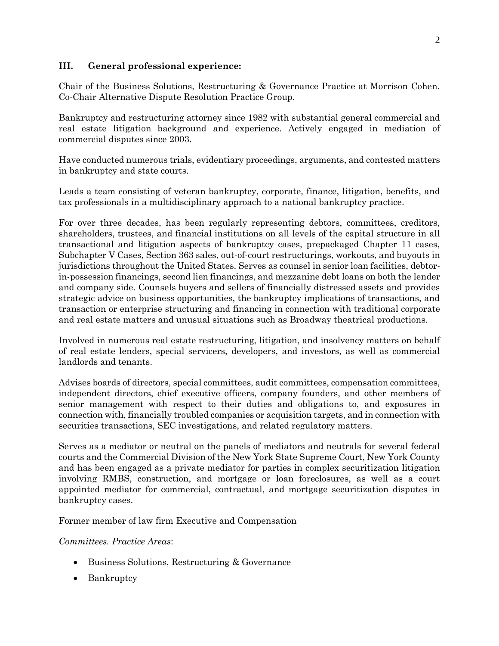# **III. General professional experience:**

Chair of the Business Solutions, Restructuring & Governance Practice at Morrison Cohen. Co-Chair Alternative Dispute Resolution Practice Group.

Bankruptcy and restructuring attorney since 1982 with substantial general commercial and real estate litigation background and experience. Actively engaged in mediation of commercial disputes since 2003.

Have conducted numerous trials, evidentiary proceedings, arguments, and contested matters in bankruptcy and state courts.

Leads a team consisting of veteran bankruptcy, corporate, finance, litigation, benefits, and tax professionals in a multidisciplinary approach to a national bankruptcy practice.

For over three decades, has been regularly representing debtors, committees, creditors, shareholders, trustees, and financial institutions on all levels of the capital structure in all transactional and litigation aspects of bankruptcy cases, prepackaged Chapter 11 cases, Subchapter V Cases, Section 363 sales, out-of-court restructurings, workouts, and buyouts in jurisdictions throughout the United States. Serves as counsel in senior loan facilities, debtorin-possession financings, second lien financings, and mezzanine debt loans on both the lender and company side. Counsels buyers and sellers of financially distressed assets and provides strategic advice on business opportunities, the bankruptcy implications of transactions, and transaction or enterprise structuring and financing in connection with traditional corporate and real estate matters and unusual situations such as Broadway theatrical productions.

Involved in numerous real estate restructuring, litigation, and insolvency matters on behalf of real estate lenders, special servicers, developers, and investors, as well as commercial landlords and tenants.

Advises boards of directors, special committees, audit committees, compensation committees, independent directors, chief executive officers, company founders, and other members of senior management with respect to their duties and obligations to, and exposures in connection with, financially troubled companies or acquisition targets, and in connection with securities transactions, SEC investigations, and related regulatory matters.

Serves as a mediator or neutral on the panels of mediators and neutrals for several federal courts and the Commercial Division of the New York State Supreme Court, New York County and has been engaged as a private mediator for parties in complex securitization litigation involving RMBS, construction, and mortgage or loan foreclosures, as well as a court appointed mediator for commercial, contractual, and mortgage securitization disputes in bankruptcy cases.

Former member of law firm Executive and Compensation

*Committees. Practice Areas*:

- Business Solutions, Restructuring & Governance
- Bankruptcy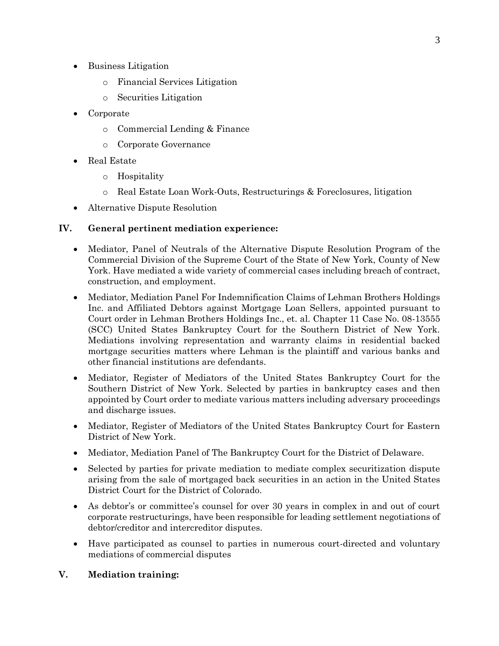- Business Litigation
	- o Financial Services Litigation
	- o Securities Litigation
- Corporate
	- o Commercial Lending & Finance
	- o Corporate Governance
- Real Estate
	- o Hospitality
	- o Real Estate Loan Work-Outs, Restructurings & Foreclosures, litigation
- Alternative Dispute Resolution

## **IV. General pertinent mediation experience:**

- Mediator, Panel of Neutrals of the Alternative Dispute Resolution Program of the Commercial Division of the Supreme Court of the State of New York, County of New York. Have mediated a wide variety of commercial cases including breach of contract, construction, and employment.
- Mediator, Mediation Panel For Indemnification Claims of Lehman Brothers Holdings Inc. and Affiliated Debtors against Mortgage Loan Sellers, appointed pursuant to Court order in Lehman Brothers Holdings Inc., et. al. Chapter 11 Case No. 08-13555 (SCC) United States Bankruptcy Court for the Southern District of New York. Mediations involving representation and warranty claims in residential backed mortgage securities matters where Lehman is the plaintiff and various banks and other financial institutions are defendants.
- Mediator, Register of Mediators of the United States Bankruptcy Court for the Southern District of New York. Selected by parties in bankruptcy cases and then appointed by Court order to mediate various matters including adversary proceedings and discharge issues.
- Mediator, Register of Mediators of the United States Bankruptcy Court for Eastern District of New York.
- Mediator, Mediation Panel of The Bankruptcy Court for the District of Delaware.
- Selected by parties for private mediation to mediate complex securitization dispute arising from the sale of mortgaged back securities in an action in the United States District Court for the District of Colorado.
- As debtor's or committee's counsel for over 30 years in complex in and out of court corporate restructurings, have been responsible for leading settlement negotiations of debtor/creditor and intercreditor disputes.
- Have participated as counsel to parties in numerous court-directed and voluntary mediations of commercial disputes

## **V. Mediation training:**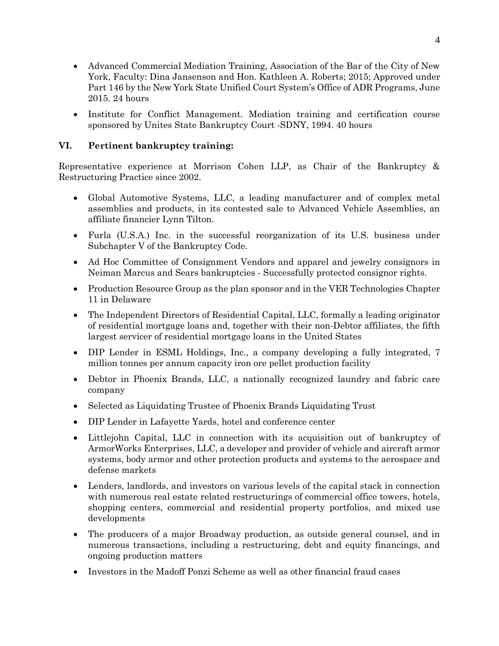- Advanced Commercial Mediation Training, Association of the Bar of the City of New York, Faculty: Dina Jansenson and Hon. Kathleen A. Roberts; 2015; Approved under Part 146 by the New York State Unified Court System's Office of ADR Programs, June 2015. 24 hours
- Institute for Conflict Management. Mediation training and certification course sponsored by Unites State Bankruptcy Court -SDNY, 1994. 40 hours

# **VI. Pertinent bankruptcy training:**

Representative experience at Morrison Cohen LLP, as Chair of the Bankruptcy & Restructuring Practice since 2002.

- Global Automotive Systems, LLC, a leading manufacturer and of complex metal assemblies and products, in its contested sale to Advanced Vehicle Assemblies, an affiliate financier Lynn Tilton.
- Furla (U.S.A.) Inc. in the successful reorganization of its U.S. business under Subchapter V of the Bankruptcy Code.
- Ad Hoc Committee of Consignment Vendors and apparel and jewelry consignors in Neiman Marcus and Sears bankruptcies - Successfully protected consignor rights.
- Production Resource Group as the plan sponsor and in the VER Technologies Chapter 11 in Delaware
- The Independent Directors of Residential Capital, LLC, formally a leading originator of residential mortgage loans and, together with their non-Debtor affiliates, the fifth largest servicer of residential mortgage loans in the United States
- DIP Lender in ESML Holdings, Inc., a company developing a fully integrated, 7 million tonnes per annum capacity iron ore pellet production facility
- Debtor in Phoenix Brands, LLC, a nationally recognized laundry and fabric care company
- Selected as Liquidating Trustee of Phoenix Brands Liquidating Trust
- DIP Lender in Lafayette Yards, hotel and conference center
- Littlejohn Capital, LLC in connection with its acquisition out of bankruptcy of ArmorWorks Enterprises, LLC, a developer and provider of vehicle and aircraft armor systems, body armor and other protection products and systems to the aerospace and defense markets
- Lenders, landlords, and investors on various levels of the capital stack in connection with numerous real estate related restructurings of commercial office towers, hotels, shopping centers, commercial and residential property portfolios, and mixed use developments
- The producers of a major Broadway production, as outside general counsel, and in numerous transactions, including a restructuring, debt and equity financings, and ongoing production matters
- Investors in the Madoff Ponzi Scheme as well as other financial fraud cases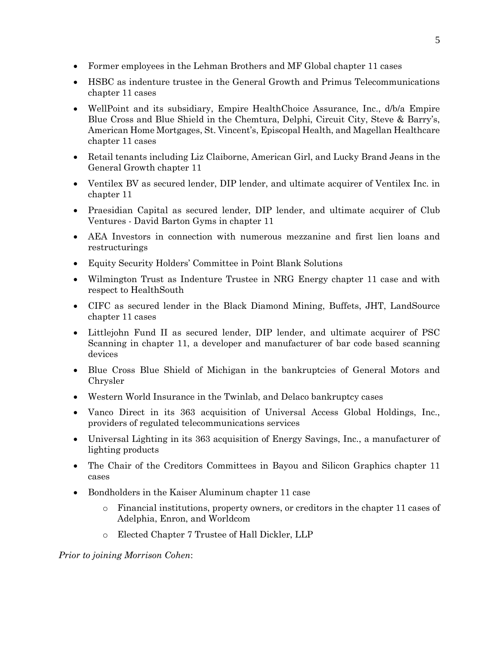- Former employees in the Lehman Brothers and MF Global chapter 11 cases
- HSBC as indenture trustee in the General Growth and Primus Telecommunications chapter 11 cases
- WellPoint and its subsidiary, Empire HealthChoice Assurance, Inc., d/b/a Empire Blue Cross and Blue Shield in the Chemtura, Delphi, Circuit City, Steve & Barry's, American Home Mortgages, St. Vincent's, Episcopal Health, and Magellan Healthcare chapter 11 cases
- Retail tenants including Liz Claiborne, American Girl, and Lucky Brand Jeans in the General Growth chapter 11
- Ventilex BV as secured lender, DIP lender, and ultimate acquirer of Ventilex Inc. in chapter 11
- Praesidian Capital as secured lender, DIP lender, and ultimate acquirer of Club Ventures - David Barton Gyms in chapter 11
- AEA Investors in connection with numerous mezzanine and first lien loans and restructurings
- Equity Security Holders' Committee in Point Blank Solutions
- Wilmington Trust as Indenture Trustee in NRG Energy chapter 11 case and with respect to HealthSouth
- CIFC as secured lender in the Black Diamond Mining, Buffets, JHT, LandSource chapter 11 cases
- Littlejohn Fund II as secured lender, DIP lender, and ultimate acquirer of PSC Scanning in chapter 11, a developer and manufacturer of bar code based scanning devices
- Blue Cross Blue Shield of Michigan in the bankruptcies of General Motors and Chrysler
- Western World Insurance in the Twinlab, and Delaco bankruptcy cases
- Vanco Direct in its 363 acquisition of Universal Access Global Holdings, Inc., providers of regulated telecommunications services
- Universal Lighting in its 363 acquisition of Energy Savings, Inc., a manufacturer of lighting products
- The Chair of the Creditors Committees in Bayou and Silicon Graphics chapter 11 cases
- Bondholders in the Kaiser Aluminum chapter 11 case
	- o Financial institutions, property owners, or creditors in the chapter 11 cases of Adelphia, Enron, and Worldcom
	- o Elected Chapter 7 Trustee of Hall Dickler, LLP

*Prior to joining Morrison Cohen*: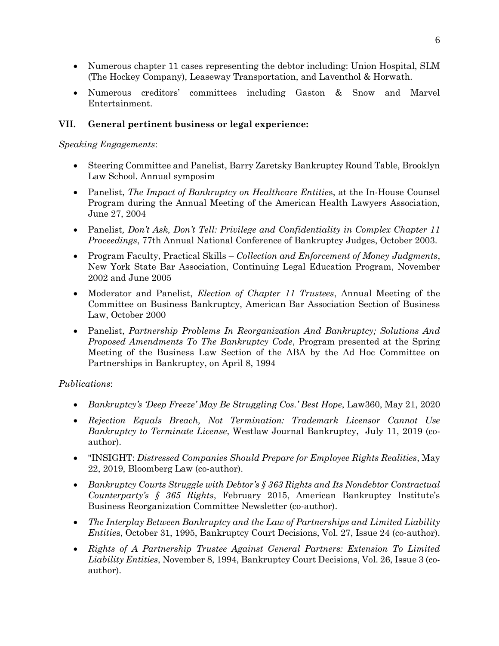- Numerous chapter 11 cases representing the debtor including: Union Hospital, SLM (The Hockey Company), Leaseway Transportation, and Laventhol & Horwath.
- Numerous creditors' committees including Gaston & Snow and Marvel Entertainment.

# **VII. General pertinent business or legal experience:**

#### *Speaking Engagements*:

- Steering Committee and Panelist, Barry Zaretsky Bankruptcy Round Table, Brooklyn Law School. Annual symposim
- Panelist, *The Impact of Bankruptcy on Healthcare Entitie*s, at the In-House Counsel Program during the Annual Meeting of the American Health Lawyers Association, June 27, 2004
- Panelist*, Don't Ask, Don't Tell: Privilege and Confidentiality in Complex Chapter 11 Proceedings*, 77th Annual National Conference of Bankruptcy Judges, October 2003.
- Program Faculty, Practical Skills *Collection and Enforcement of Money Judgments*, New York State Bar Association, Continuing Legal Education Program, November 2002 and June 2005
- Moderator and Panelist, *Election of Chapter 11 Trustees*, Annual Meeting of the Committee on Business Bankruptcy, American Bar Association Section of Business Law, October 2000
- Panelist, *Partnership Problems In Reorganization And Bankruptcy; Solutions And Proposed Amendments To The Bankruptcy Code*, Program presented at the Spring Meeting of the Business Law Section of the ABA by the Ad Hoc Committee on Partnerships in Bankruptcy, on April 8, 1994

## *Publications*:

- *Bankruptcy's 'Deep Freeze' May Be Struggling Cos.' Best Hope*, Law360, May 21, 2020
- *Rejection Equals Breach, Not Termination: Trademark Licensor Cannot Use Bankruptcy to Terminate License*, Westlaw Journal Bankruptcy, July 11, 2019 (coauthor).
- "INSIGHT: *Distressed Companies Should Prepare for Employee Rights Realities*, May 22, 2019, Bloomberg Law (co-author).
- *Bankruptcy Courts Struggle with Debtor's § 363 Rights and Its Nondebtor Contractual Counterparty's § 365 Rights*, February 2015, American Bankruptcy Institute's Business Reorganization Committee Newsletter (co-author).
- *The Interplay Between Bankruptcy and the Law of Partnerships and Limited Liability Entities*, October 31, 1995, Bankruptcy Court Decisions, Vol. 27, Issue 24 (co-author).
- *Rights of A Partnership Trustee Against General Partners: Extension To Limited Liability Entities*, November 8, 1994, Bankruptcy Court Decisions, Vol. 26, Issue 3 (coauthor).